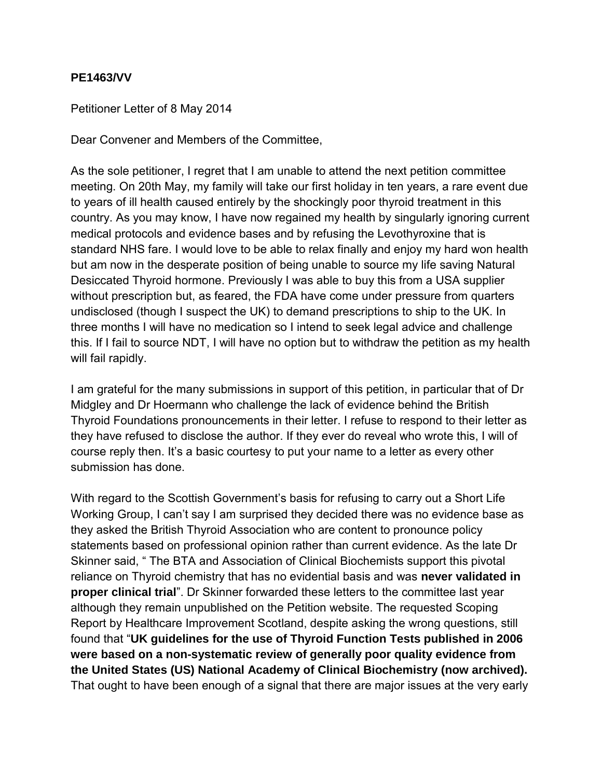## **PE1463/VV**

Petitioner Letter of 8 May 2014

Dear Convener and Members of the Committee,

As the sole petitioner, I regret that I am unable to attend the next petition committee meeting. On 20th May, my family will take our first holiday in ten years, a rare event due to years of ill health caused entirely by the shockingly poor thyroid treatment in this country. As you may know, I have now regained my health by singularly ignoring current medical protocols and evidence bases and by refusing the Levothyroxine that is standard NHS fare. I would love to be able to relax finally and enjoy my hard won health but am now in the desperate position of being unable to source my life saving Natural Desiccated Thyroid hormone. Previously I was able to buy this from a USA supplier without prescription but, as feared, the FDA have come under pressure from quarters undisclosed (though I suspect the UK) to demand prescriptions to ship to the UK. In three months I will have no medication so I intend to seek legal advice and challenge this. If I fail to source NDT, I will have no option but to withdraw the petition as my health will fail rapidly.

I am grateful for the many submissions in support of this petition, in particular that of Dr Midgley and Dr Hoermann who challenge the lack of evidence behind the British Thyroid Foundations pronouncements in their letter. I refuse to respond to their letter as they have refused to disclose the author. If they ever do reveal who wrote this, I will of course reply then. It's a basic courtesy to put your name to a letter as every other submission has done.

With regard to the Scottish Government's basis for refusing to carry out a Short Life Working Group, I can't say I am surprised they decided there was no evidence base as they asked the British Thyroid Association who are content to pronounce policy statements based on professional opinion rather than current evidence. As the late Dr Skinner said, " The BTA and Association of Clinical Biochemists support this pivotal reliance on Thyroid chemistry that has no evidential basis and was **never validated in proper clinical trial**". Dr Skinner forwarded these letters to the committee last year although they remain unpublished on the Petition website. The requested Scoping Report by Healthcare Improvement Scotland, despite asking the wrong questions, still found that "**UK guidelines for the use of Thyroid Function Tests published in 2006 were based on a non-systematic review of generally poor quality evidence from the United States (US) National Academy of Clinical Biochemistry (now archived).**  That ought to have been enough of a signal that there are major issues at the very early